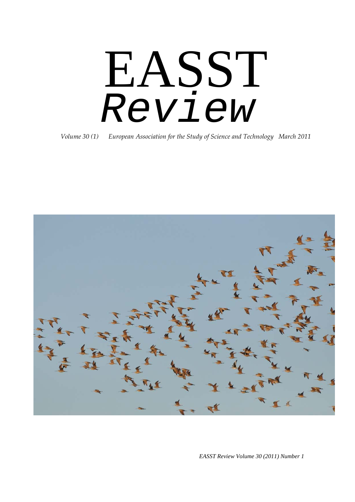# EASST *Review*

*Volume 30 (1) European Association for the Study of Science and Technology March 2011*



*EASST Review Volume 30 (2011) Number 1*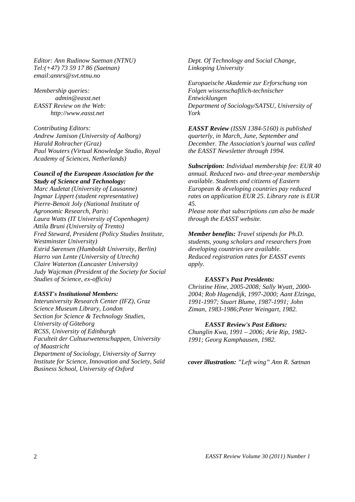*Editor: Ann Rudinow Saetnan (NTNU) Tel:(+47) 73 59 17 86 (Saetnan) email:annrs@svt.ntnu.no* 

*Membership queries: admin@easst.net EASST Review on the Web: http://www.easst.net*

*Contributing Editors: Andrew Jamison (University of Aalborg) Harald Rohracher (Graz) Paul Wouters (Virtual Knowledge Studio, Royal Academy of Sciences, Netherlands)* 

#### *Council of the European Association for the Study of Science and Technology:*

*Marc Audetat (University of Lausanne) Ingmar Lippert (student representative) Pierre-Benoit Joly (National Institute of Agronomic Research, Paris*) *Laura Watts (IT University of Copenhagen) Attila Bruni (University of Trento) Fred Steward, President (Policy Studies Institute, Westminster University) Estrid Sørensen (Humboldt University, Berlin) Harro van Lente (University of Utrecht) Claire Waterton (Lancaster University) Judy Wajcman (President of the Society for Social Studies of Science, ex-officio)* 

#### *EASST's Institutional Members:*

*Interuniversity Research Center (IFZ), Graz Science Museum Library, London Section for Science & Technology Studies, University of Göteborg RCSS, University of Edinburgh Faculteit der Cultuurwetenschappen, University of Maastricht Department of Sociology, University of Surrey Institute for Science, Innovation and Society, Saïd Business School, University of Oxford*

*Dept. Of Technology and Social Change, Linkoping University*

*Europaeische Akademie zur Erforschung von Folgen wissenschaftlich-technischer Entwicklungen Department of Sociology/SATSU, University of York*

*EASST Review (ISSN 1384-5160) is published quarterly, in March, June, September and December. The Association's journal was called the EASST Newsletter through 1994.* 

*Subscription: Individual membership fee: EUR 40 annual. Reduced two- and three-year membership available. Students and citizens of Eastern European & developing countries pay reduced rates on application EUR 25. Library rate is EUR 45.* 

*Please note that subscriptions can also be made through the EASST website.* 

*Member benefits: Travel stipends for Ph.D. students, young scholars and researchers from developing countries are available. Reduced registration rates for EASST events apply.* 

#### *EASST's Past Presidents:*

*Christine Hine, 2005-2008; Sally Wyatt, 2000- 2004; Rob Hagendijk, 1997-2000; Aant Elzinga, 1991-1997; Stuart Blume, 1987-1991; John Ziman, 1983-1986;Peter Weingart, 1982.* 

#### *EASST Review's Past Editors:*

*Chunglin Kwa, 1991 – 2006; Arie Rip, 1982- 1991; Georg Kamphausen, 1982.*

*cover illustration: "Left wing" Ann R. Sætnan*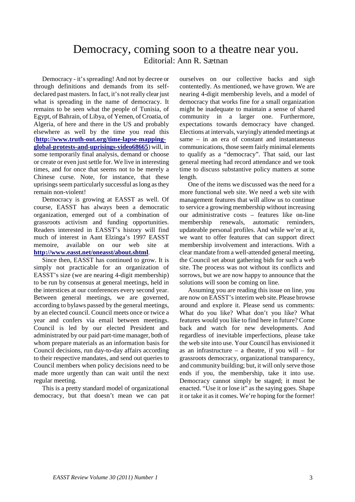### Democracy, coming soon to a theatre near you. Editorial: Ann R. Sætnan

Democracy - it's spreading! And not by decree or through definitions and demands from its selfdeclared past masters. In fact, it's not really clear just what is spreading in the name of democracy. It remains to be seen what the people of Tunisia, of Egypt, of Bahrain, of Libya, of Yemen, of Croatia, of Algeria, of here and there in the US and probably elsewhere as well by the time you read this (**[http://www.truth-out.org/time-lapse-mapping](http://www.truth-out.org/time-lapse-mapping-global-protests-and-uprisings-video68665)[global-protests-and-uprisings-video68665](http://www.truth-out.org/time-lapse-mapping-global-protests-and-uprisings-video68665)**) will, in some temporarily final analysis, demand or choose or create or even just settle for. We live in interesting times, and for once that seems not to be merely a Chinese curse. Note, for instance, that these uprisings seem particularly successful as long as they remain non-violent!

Democracy is growing at EASST as well. Of course, EASST has always been a democratic organization, emerged out of a combination of grassroots activism and funding opportunities. Readers interested in EASST's history will find much of interest in Aant Elzinga's 1997 EASST memoire, available on our web site at **<http://www.easst.net/oneasst/about.shtml>**.

Since then, EASST has continued to grow. It is simply not practicable for an organization of EASST's size (we are nearing 4-digit membership) to be run by consensus at general meetings, held in the interstices at our conferences every second year. Between general meetings, we are governed, according to bylaws passed by the general meetings, by an elected council. Council meets once or twice a year and confers via email between meetings. Council is led by our elected President and administrated by our paid part-time manager, both of whom prepare materials as an information basis for Council decisions, run day-to-day affairs according to their respective mandates, and send out queries to Council members when policy decisions need to be made more urgently than can wait until the next regular meeting.

This is a pretty standard model of organizational democracy, but that doesn't mean we can pat

ourselves on our collective backs and sigh contentedly. As mentioned, we have grown. We are nearing 4-digit membership levels, and a model of democracy that works fine for a small organization might be inadequate to maintain a sense of shared community in a larger one. Furthermore, expectations towards democracy have changed. Elections at intervals, varyingly attended meetings at same – in an era of constant and instantaneous communications, those seem fairly minimal elements to qualify as a "democracy". That said, our last general meeting had record attendance and we took time to discuss substantive policy matters at some length.

One of the items we discussed was the need for a more functional web site. We need a web site with management features that will allow us to continue to service a growing membership without increasing our administrative costs – features like on-line membership renewals, automatic reminders, updateable personal profiles. And while we're at it, we want to offer features that can support direct membership involvement and interactions. With a clear mandate from a well-attended general meeting, the Council set about gathering bids for such a web site. The process was not without its conflicts and sorrows, but we are now happy to announce that the solutions will soon be coming on line.

Assuming you are reading this issue on line, you are now on EASST's interim web site. Please browse around and explore it. Please send us comments: What do you like? What don't you like? What features would you like to find here in future? Come back and watch for new developments. And regardless of inevitable imperfections, please take the web site into use. Your Council has envisioned it as an infrastructure – a theatre, if you will – for grassroots democracy, organizational transparency, and community building; but, it will only serve those ends if you, the membership, take it into use. Democracy cannot simply be staged; it must be enacted. "Use it or lose it" as the saying goes. Shape it or take it as it comes. We're hoping for the former!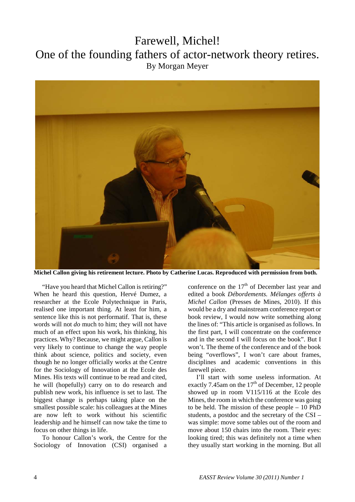## Farewell, Michel! One of the founding fathers of actor-network theory retires. By Morgan Meyer



**Michel Callon giving his retirement lecture. Photo by Catherine Lucas. Reproduced with permission from both.**

"Have you heard that Michel Callon is retiring?" When he heard this question, Hervé Dumez, a researcher at the Ecole Polytechnique in Paris, realised one important thing. At least for him, a sentence like this is not performatif. That is, these words will not *do* much to him; they will not have much of an effect upon his work, his thinking, his practices. Why? Because, we might argue, Callon is very likely to continue to change the way people think about science, politics and society, even though he no longer officially works at the Centre for the Sociology of Innovation at the Ecole des Mines. His texts will continue to be read and cited, he will (hopefully) carry on to do research and publish new work, his influence is set to last. The biggest change is perhaps taking place on the smallest possible scale: his colleagues at the Mines are now left to work without his scientific leadership and he himself can now take the time to focus on other things in life.

To honour Callon's work, the Centre for the Sociology of Innovation (CSI) organised a conference on the  $17<sup>th</sup>$  of December last year and edited a book *Débordements. Mélanges offerts à Michel Callon* (Presses de Mines, 2010). If this would be a dry and mainstream conference report or book review, I would now write something along the lines of: "This article is organised as follows. In the first part, I will concentrate on the conference and in the second I will focus on the book". But I won't. The theme of the conference and of the book being "overflows", I won't care about frames, disciplines and academic conventions in this farewell piece.

I'll start with some useless information. At exactly  $7.45$ am on the  $17<sup>th</sup>$  of December, 12 people showed up in room V115/116 at the Ecole des Mines, the room in which the conference was going to be held. The mission of these people – 10 PhD students, a postdoc and the secretary of the CSI – was simple: move some tables out of the room and move about 150 chairs into the room. Their eyes: looking tired; this was definitely not a time when they usually start working in the morning. But all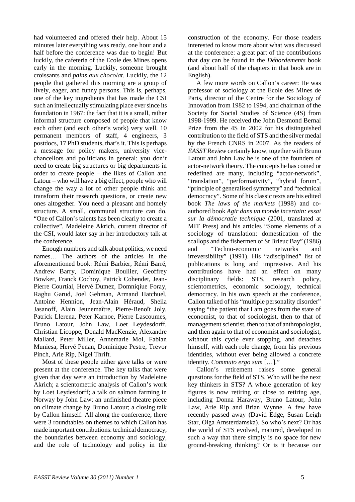had volunteered and offered their help. About 15 minutes later everything was ready, one hour and a half before the conference was due to begin! But luckily, the cafeteria of the Ecole des Mines opens early in the morning. Luckily, someone brought croissants and *pains aux chocolat*. Luckily, the 12 people that gathered this morning are a group of lively, eager, and funny persons. This is, perhaps, one of the key ingredients that has made the CSI such an intellectually stimulating place ever since its foundation in 1967: the fact that it is a small, rather informal structure composed of people that know each other (and each other's work) very well. 10 permanent members of staff, 4 engineers, 3 postdocs, 17 PhD students, that's it. This is perhaps a message for policy makers, university vicechancellors and politicians in general: you don't need to create big structures or big departments in order to create people – the likes of Callon and Latour – who will have a big effect, people who will change the way a lot of other people think and transform their research questions, or create new ones altogether. You need a pleasant and homely structure. A small, communal structure can do. "One of Callon's talents has been clearly to create a collective", Madeleine Akrich, current director of the CSI, would later say in her introductory talk at the conference.

Enough numbers and talk about politics, we need names… The authors of the articles in the aforementioned book: Rémi Barbier, Rémi Barré, Andrew Barry, Dominique Boullier, Geoffrey Bowker, Franck Cochoy, Patrick Cohendet, Jean-Pierre Courtial, Hervé Dumez, Domniqiue Foray, Raghu Garud, Joel Gehman, Armand Hatchuel, Antoine Hennion, Jean-Alain Héraud, Sheila Jasanoff, Alain Jeunemaître, Pierre-Benoît Joly, Patrick Llerena, Peter Karnoe, Pierre Lascoumes, Bruno Latour, John Law, Loet Leydesdorff, Christian Licoppe, Donald MacKenzie, Alexandre Mallard, Peter Miller, Annemarie Mol, Fabian Muniesa, Hervé Penan, Dominique Pestre, Trevor Pinch, Arie Rip, Nigel Thrift.

Most of these people either gave talks or were present at the conference. The key talks that were given that day were an introduction by Madeleine Akrich; a scientometric analysis of Callon's work by Loet Leydesdorff; a talk on salmon farming in Norway by John Law; an unfinished theatre piece on climate change by Bruno Latour; a closing talk by Callon himself. All along the conference, there were 3 roundtables on themes to which Callon has made important contributions: technical democracy, the boundaries between economy and sociology, and the role of technology and policy in the

construction of the economy. For those readers interested to know more about what was discussed at the conference: a great part of the contributions that day can be found in the *Débordements* book (and about half of the chapters in that book are in English).

A few more words on Callon's career: He was professor of sociology at the Ecole des Mines de Paris, director of the Centre for the Sociology of Innovation from 1982 to 1994, and chairman of the Society for Social Studies of Science (4S) from 1998-1999. He received the John Desmond Bernal Prize from the 4S in 2002 for his distinguished contribution to the field of STS and the silver medal by the French CNRS in 2007. As the readers of *EASST Review* certainly know, together with Bruno Latour and John Law he is one of the founders of actor-network theory. The concepts he has coined or redefined are many, including "actor-network", "translation", "performativity", "hybrid forum", "principle of generalised symmetry" and "technical democracy". Some of his classic texts are his edited book *The laws of the markets* (1998) and coauthored book *Agir dans un monde incertain: essai sur la démocratie technique* (2001, translated at MIT Press) and his articles "Some elements of a sociology of translation: domestication of the scallops and the fishermen of St Brieuc Bay" (1986) and "Techno-economic networks and irreversibility" (1991). His "adisciplined" list of publications is long and impressive. And his contributions have had an effect on many disciplinary fields: STS, research policy, scientometrics, economic sociology, technical democracy. In his own speech at the conference, Callon talked of his "multiple personality disorder" saying "the patient that I am goes from the state of economist, to that of sociologist, then to that of management scientist, then to that of anthropologist, and then again to that of economist and sociologist, without this cycle ever stopping, and detaches himself, with each role change, from his previous identities, without ever being allowed a concrete identity. *Commuto ergo sum* […]."

Callon's retirement raises some general questions for the field of STS. Who will be the next key thinkers in STS? A whole generation of key figures is now retiring or close to retiring age, including Donna Haraway, Bruno Latour, John Law, Arie Rip and Brian Wynne. A few have recently passed away (David Edge, Susan Leigh Star, Olga Amsterdamska). So who's next? Or has the world of STS evolved, matured, developed in such a way that there simply is no space for new ground-breaking thinking? Or is it because our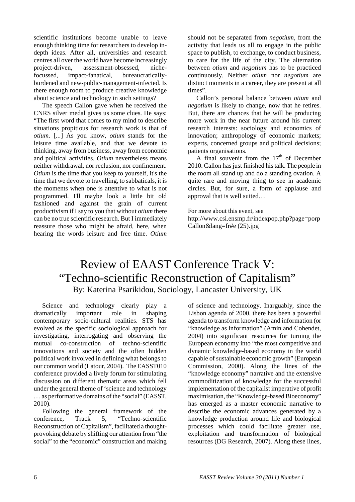scientific institutions become unable to leave enough thinking time for researchers to develop indepth ideas. After all, universities and research centres all over the world have become increasingly project-driven, assessment-obsessed, nichefocussed, impact-fanatical, bureaucraticallyburdened and new-public-management-infected. Is there enough room to produce creative knowledge about science and technology in such settings?

The speech Callon gave when he received the CNRS silver medal gives us some clues. He says: "The first word that comes to my mind to describe situations propitious for research work is that of *otium*. [...] As you know, *otium* stands for the leisure time available, and that we devote to thinking, away from business, away from economic and political activities. *Otium* nevertheless means neither withdrawal, nor reclusion, nor confinement. *Otium* is the time that you keep to yourself, it's the time that we devote to travelling, to sabbaticals, it is the moments when one is attentive to what is not programmed. I'll maybe look a little bit old fashioned and against the grain of current productivism if I say to you that without *otium* there can be no true scientific research. But I immediately reassure those who might be afraid, here, when hearing the words leisure and free time. *Otium*

should not be separated from *negotium*, from the activity that leads us all to engage in the public space to publish, to exchange, to conduct business, to care for the life of the city. The alternation between *otium* and *negotium* has to be practiced continuously. Neither *otium* nor *negotium* are distinct moments in a career, they are present at all times".

Callon's personal balance between *otium* and *negotium* is likely to change, now that he retires. But, there are chances that he will be producing more work in the near future around his current research interests: sociology and economics of innovation; anthropology of economic markets; experts, concerned groups and political decisions; patients organisations.

A final souvenir from the  $17<sup>th</sup>$  of December 2010. Callon has just finished his talk. The people in the room all stand up and do a standing ovation. A quite rare and moving thing to see in academic circles. But, for sure, a form of applause and approval that is well suited…

For more about this event, see http://www.csi.ensmp.fr/indexpop.php?page=porp Callon&lang=fr#e (25).jpg

## Review of EAAST Conference Track V: "Techno-scientific Reconstruction of Capitalism" By: Katerina Psarikidou, Sociology, Lancaster University, UK

Science and technology clearly play a dramatically important role in shaping contemporary socio-cultural realities. STS has evolved as the specific sociological approach for investigating, interrogating and observing the mutual co-construction of techno-scientific innovations and society and the often hidden political work involved in defining what belongs to our common world (Latour, 2004). The EASST010 conference provided a lively forum for stimulating discussion on different thematic areas which fell under the general theme of 'science and technology … as performative domains of the "social" (EASST, 2010).

Following the general framework of the conference, Track 5, "Techno-scientific Reconstruction of Capitalism", facilitated a thoughtprovoking debate by shifting our attention from "the social" to the "economic" construction and making

of science and technology. Inarguably, since the Lisbon agenda of 2000, there has been a powerful agenda to transform knowledge and information (or "knowledge as information" (Amin and Cohendet, 2004) into significant resources for turning the European economy into "the most competitive and dynamic knowledge-based economy in the world capable of sustainable economic growth" (European Commission, 2000). Along the lines of the "knowledge economy" narrative and the extensive commoditization of knowledge for the successful implementation of the capitalist imperative of profit maximisation, the "Knowledge-based Bioeconomy" has emerged as a master economic narrative to describe the economic advances generated by a knowledge production around life and biological processes which could facilitate greater use, exploitation and transformation of biological resources (DG Research, 2007). Along these lines,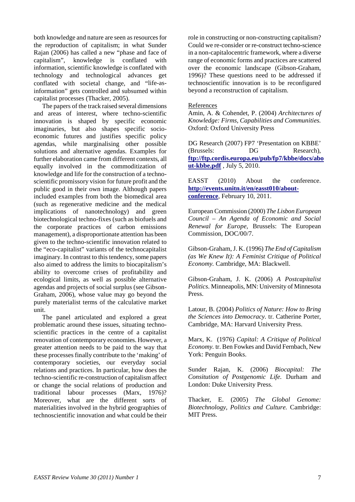both knowledge and nature are seen as resources for the reproduction of capitalism; in what Sunder Rajan (2006) has called a new "phase and face of capitalism", knowledge is conflated with information, scientific knowledge is conflated with technology and technological advances get conflated with societal change, and "life-asinformation" gets controlled and subsumed within capitalist processes (Thacker, 2005).

The papers of the track raised several dimensions and areas of interest, where techno-scientific innovation is shaped by specific economic imaginaries, but also shapes specific socioeconomic futures and justifies specific policy agendas, while marginalising other possible solutions and alternative agendas. Examples for further elaboration came from different contexts, all equally involved in the commoditization of knowledge and life for the construction of a technoscientific promissory vision for future profit and the public good in their own image. Although papers included examples from both the biomedical area (such as regenerative medicine and the medical implications of nanotechnology) and green biotechnological techno-fixes (such as biofuels and the corporate practices of carbon emissions management), a disproportionate attention has been given to the techno-scientific innovation related to the "eco-capitalist" variants of the technocapitalist imaginary. In contrast to this tendency, some papers also aimed to address the limits to biocapitalism's ability to overcome crises of profitability and ecological limits, as well as possible alternative agendas and projects of social surplus (see Gibson-Graham, 2006), whose value may go beyond the purely materialist terms of the calculative market unit.

The panel articulated and explored a great problematic around these issues, situating technoscientific practices in the centre of a capitalist renovation of contemporary economies. However, a greater attention needs to be paid to the way that these processes finally contribute to the 'making' of contemporary societies, our everyday social relations and practices. In particular, how does the techno-scientific re-construction of capitalism affect or change the social relations of production and traditional labour processes (Marx, 1976)? Moreover, what are the different sorts of materialities involved in the hybrid geographies of technoscientific innovation and what could be their

role in constructing or non-constructing capitalism? Could we re-consider or re-construct techno-science in a non-capitalocentric framework, where a diverse range of economic forms and practices are scattered over the economic landscape (Gibson-Graham, 1996)? These questions need to be addressed if technoscientific innovation is to be reconfigured beyond a reconstruction of capitalism.

#### References

Amin, A. & Cohendet, P. (2004) *Architectures of Knowledge: Firms, Capabilities and Communities.* Oxford: Oxford University Press

DG Research (2007) FP7 'Presentation on KBBE' (Brussels: DG Research), **[ftp://ftp.cordis.europa.eu/pub/fp7/kbbe/docs/abo](ftp://ftp.cordis.europa.eu/pub/fp7/kbbe/docs/about-kbbe.pdf) [ut-kbbe.pdf](ftp://ftp.cordis.europa.eu/pub/fp7/kbbe/docs/about-kbbe.pdf)** , July 5, 2010.

EASST (2010) About the conference. **[http://events.unitn.it/en/easst010/about](http://events.unitn.it/en/easst010/about-conference)[conference](http://events.unitn.it/en/easst010/about-conference)**, February 10, 2011.

European Commission (2000) *The Lisbon European Council – An Agenda of Economic and Social Renewal for Europe,* Brussels: The European Commission, DOC/00/7.

Gibson-Graham, J. K. (1996) *The End of Capitalism (as We Knew It): A Feminist Critique of Political Economy.* Cambridge, MA: Blackwell.

Gibson-Graham, J. K. (2006) *A Postcapitalist Politics*. Minneapolis, MN: University of Minnesota Press.

Latour, B. (2004) *Politics of Nature: How to Bring the Sciences into Democracy.* tr. Catherine Porter, Cambridge, MA: Harvard University Press.

Marx, K. (1976) *Capital: A Critique of Political Economy.* tr. Ben Fowkes and David Fernbach, New York: Penguin Books.

Sunder Rajan, K. (2006) *Biocapital: The Consitution of Postgenomic Life.* Durham and London: Duke University Press.

Thacker, E. (2005) *The Global Genome: Biotechnology, Politics and Culture.* Cambridge: MIT Press.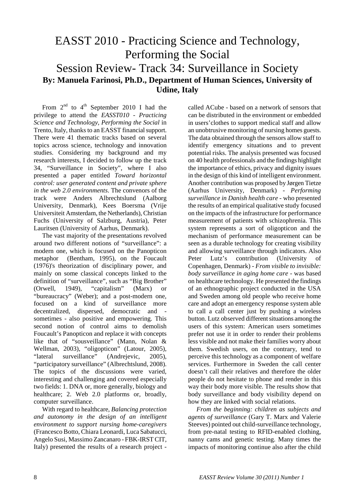## EASST 2010 - Practicing Science and Technology, Performing the Social Session Review- Track 34: Surveillance in Society **By: Manuela Farinosi, Ph.D., Department of Human Sciences, University of Udine, Italy**

From  $2^{nd}$  to  $4^{th}$  September 2010 I had the privilege to attend the *EASST010* - *Practicing Science and Technology, Performing the Social* in Trento, Italy, thanks to an EASST financial support. There were 41 thematic tracks based on several topics across science, technology and innovation studies. Considering my background and my research interests, I decided to follow up the track 34, "Surveillance in Society", where I also presented a paper entitled *Toward horizontal control: user generated content and private sphere in the web 2.0 environments*. The convenors of the track were Anders Albrechtslund (Aalborg University, Denmark), Kees Boersma (Vrije Universiteit Amsterdam, the Netherlands), Christian Fuchs (University of Salzburg, Austria), Peter Lauritsen (University of Aarhus, Denmark).

The vast majority of the presentations revolved around two different notions of "surveillance": a modern one, which is focused on the Panopticon metaphor (Bentham, 1995), on the Foucault (1976)'s theorization of disciplinary power, and mainly on some classical concepts linked to the definition of "surveillance", such as "Big Brother" (Orwell, 1949), "capitalism" (Marx) or "bureaucracy" (Weber); and a post-modern one, focused on a kind of surveillance more decentralized, dispersed, democratic and sometimes - also positive and empowering. This second notion of control aims to demolish Foucault's Panopticon and replace it with concepts like that of "sousveillance" (Mann, Nolan & Wellman, 2003), "oligopticon" (Latour, 2005), "lateral surveillance" (Andrejevic, 2005), "participatory surveillance" (Albrechtslund, 2008). The topics of the discussions were varied, interesting and challenging and covered especially two fields: 1. DNA or, more generally, biology and healthcare; 2. Web 2.0 platforms or, broadly, computer surveillance.

With regard to healthcare, *Balancing protection and autonomy in the design of an intelligent environment to support nursing home-caregivers*  (Francesco Botto, Chiara Leonardi, Luca Sabatucci, Angelo Susi, Massimo Zancanaro - FBK-IRST CIT, Italy) presented the results of a research project -

called ACube - based on a network of sensors that can be distributed in the environment or embedded in users'clothes to support medical staff and allow an unobtrusive monitoring of nursing homes guests. The data obtained through the sensors allow staff to identify emergency situations and to prevent potential risks. The analysis presented was focused on 40 health professionals and the findings highlight the importance of ethics, privacy and dignity issues in the design of this kind of intelligent environment. Another contribution was proposed by Jørgen Tietze (Aarhus University, Denmark) - *Performing surveillance in Danish health care -* who presented the results of an empirical qualitative study focused on the impacts of the infrastructure for performance measurement of patients with schizophrenia. This system represents a sort of oligopticon and the mechanism of performance measurement can be seen as a durable technology for creating visibility and allowing surveillance through indicators. Also Peter Lutz's contribution (University of Copenhagen, Denmark) - *From visible to invisible: body surveillance in aging home care* - was based on healthcare technology. He presented the findings of an ethnographic project conducted in the USA and Sweden among old people who receive home care and adopt an emergency response system able to call a call center just by pushing a wireless button. Lutz observed different situations among the users of this system: American users sometimes prefer not use it in order to render their problems less visible and not make their families worry about them. Swedish users, on the contrary, tend to perceive this technology as a component of welfare services. Furthermore in Sweden the call center doesn't call their relatives and therefore the older people do not hesitate to phone and render in this way their body more visible. The results show that body surveillance and body visibility depend on how they are linked with social relations.

*From the beginning: children as subjects and agents of surveillance* (Gary T. Marx and Valerie Steeves) pointed out child-surveillance technology, from pre-natal testing to RFID-enabled clothing, nanny cams and genetic testing. Many times the impacts of monitoring continue also after the child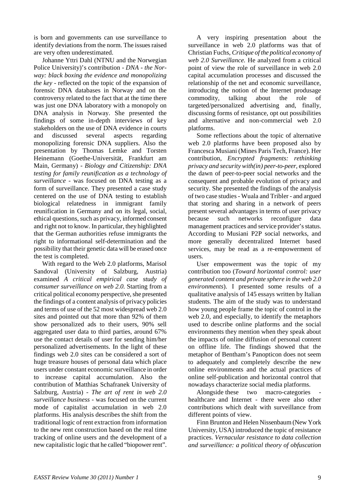is born and governments can use surveillance to identify deviations from the norm. The issues raised are very often underestimated.

Johanne Yttri Dahl (NTNU and the Norwegian Police University)'s contribution - *DNA - the Norway: black boxing the evidence and monopolizing the key* - reflected on the topic of the expansion of forensic DNA databases in Norway and on the controversy related to the fact that at the time there was just one DNA laboratory with a monopoly on DNA analysis in Norway. She presented the findings of some in-depth interviews of key stakeholders on the use of DNA evidence in courts and discussed several aspects regarding monopolizing forensic DNA suppliers. Also the presentation by Thomas Lemke and Torsten Heinemann (Goethe-Universität, Frankfurt am Main, Germany) - *Biology and Citizenship: DNA testing for family reunification as a technology of surveillance* - was focused on DNA testing as a form of surveillance. They presented a case study centered on the use of DNA testing to establish biological relatedness in immigrant family reunification in Germany and on its legal, social, ethical questions, such as privacy, informed consent and right not to know. In particular, they highlighted that the German authorities refuse immigrants the right to informational self-determination and the possibility that their genetic data will be erased once the test is completed.

With regard to the Web 2.0 platforms, Marisol Sandoval (University of Salzburg, Austria) examined *A critical empirical case study of consumer surveillance on web 2.0.* Starting from a critical political economy perspective, she presented the findings of a content analysis of privacy policies and terms of use of the 52 most widespread web 2.0 sites and pointed out that more than 92% of them show personalized ads to their users, 90% sell aggregated user data to third parties, around 67% use the contact details of user for sending him/her personalized advertisements. In the light of these findings web 2.0 sites can be considered a sort of huge treasure houses of personal data which place users under constant economic surveillance in order to increase capital accumulation. Also the contribution of Matthias Schafranek University of Salzburg, Austria) - *The art of rent in web 2.0 surveillance business -* was focused on the current mode of capitalist accumulation in web 2.0 platforms. His analysis describes the shift from the traditional logic of rent extraction from information to the new rent construction based on the real time tracking of online users and the development of a new capitalistic logic that he called "biopower rent".

A very inspiring presentation about the surveillance in web 2.0 platforms was that of Christian Fuchs, *Critique of the political economy of web 2.0 Surveillance.* He analyzed from a critical point of view the role of surveillance in web 2.0 capital accumulation processes and discussed the relationship of the net and economic surveillance, introducing the notion of the Internet produsage commodity, talking about the role of targeted/personalized advertising and, finally, discussing forms of resistance, opt out possibilities and alternative and non-commercial web 2.0 platforms.

Some reflections about the topic of alternative web 2.0 platforms have been proposed also by Francesca Musiani (Mines Paris Tech, France). Her contribution, *Encrypted fragments: rethinking privacy and security with(in) peer-to-peer,* explored the dawn of peer-to-peer social networks and the consequent and probable evolution of privacy and security. She presented the findings of the analysis of two case studies - Wuala and Tribler - and argued that storing and sharing in a network of peers present several advantages in terms of user privacy because such networks reconfigure data management practices and service provider's status. According to Musiani P2P social networks, and more generally decentralized Internet based services, may be read as a re-empowerment of users.

User empowerment was the topic of my contribution too (*Toward horizontal control: user generated content and private sphere in the web 2.0 environments*). I presented some results of a qualitative analysis of 145 essays written by Italian students. The aim of the study was to understand how young people frame the topic of control in the web 2.0, and especially, to identify the metaphors used to describe online platforms and the social environments they mention when they speak about the impacts of online diffusion of personal content on offline life. The findings showed that the metaphor of Bentham's Panopticon does not seem to adequately and completely describe the new online environments and the actual practices of online self-publication and horizontal control that nowadays characterize social media platforms.

Alongside these two macro-categories healthcare and Internet - there were also other contributions which dealt with surveillance from different points of view.

Finn Brunton and Helen Nissenbaum (New York University, USA) introduced the topic of resistance practices. *Vernacular resistance to data collection and surveillance: a political theory of obfuscation*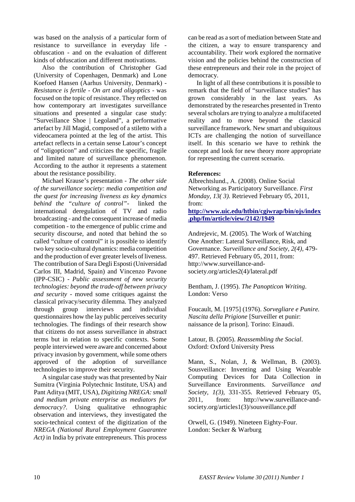was based on the analysis of a particular form of resistance to surveillance in everyday life obfuscation - and on the evaluation of different kinds of obfuscation and different motivations.

Also the contribution of Christopher Gad (University of Copenhagen, Denmark) and Lone Koefoed Hansen (Aarhus University, Denmark) - *Resistance is fertile - On art and oligoptics* - was focused on the topic of resistance. They reflected on how contemporary art investigates surveillance situations and presented a singular case study: "Surveillance Shoe | Legoland", a performative artefact by Jill Magid, composed of a stiletto with a videocamera pointed at the leg of the artist. This artefact reflects in a certain sense Latour's concept of "oligopticon" and criticizes the specific, fragile and limited nature of surveillance phenomenon. According to the author it represents a statement about the resistance possibility.

Michael Krause's presentation - *The other side of the surveillance society: media competition and the quest for increasing liveness as key dynamics behind the "culture of control"*- linked the international deregulation of TV and radio broadcasting - and the consequent increase of media competition - to the emergence of public crime and security discourse, and noted that behind the so called "culture of control" it is possible to identify two key socio-cultural dynamics: media competition and the production of ever greater levels of liveness. The contribution of Sara Degli Esposti (Universidad Carlos III, Madrid, Spain) and Vincenzo Pavone (IPP-CSIC) - *Public assessment of new security technologies: beyond the trade-off between privacy and security* - moved some critiques against the classical privacy/security dilemma. They analyzed through group interviews and individual questionnaires how the lay public perceives security technologies. The findings of their research show that citizens do not assess surveillance in abstract terms but in relation to specific contexts. Some people interviewed were aware and concerned about privacy invasion by government, while some others approved of the adoption of surveillance technologies to improve their security.

A singular case study was that presented by Nair Sumitra (Virginia Polytechnic Institute, USA) and Pant Aditya (MIT, USA), *Digitizing NREGA: small and medium private enterprise as mediators for democracy?*. Using qualitative ethnographic observation and interviews, they investigated the socio-technical context of the digitization of the *NREGA (National Rural Employment Guarantee Act)* in India by private entrepreneurs. This process

can be read as a sort of mediation between State and the citizen, a way to ensure transparency and accountability. Their work explored the normative vision and the policies behind the construction of these entrepreneurs and their role in the project of democracy.

In light of all these contributions it is possible to remark that the field of "surveillance studies" has grown considerably in the last years. As demonstrated by the researches presented in Trento several scholars are trying to analyze a multifaceted reality and to move beyond the classical surveillance framework. New smart and ubiquitous ICTs are challenging the notion of surveillance itself. In this scenario we have to rethink the concept and look for new theory more appropriate for representing the current scenario.

#### **References:**

Albrechtslund., A. (2008). Online Social Networking as Participatory Surveillance. *First Monday, 13( 3)*. Retrieved February 05, 2011, from:

**[http://www.uic.edu/htbin/cgiwrap/bin/ojs/index](http://www.uic.edu/htbin/cgiwrap/bin/ojs/index.php/fm/article/view/2142/1949) [.php/fm/article/view/2142/1949](http://www.uic.edu/htbin/cgiwrap/bin/ojs/index.php/fm/article/view/2142/1949)**

Andrejevic, M. (2005). The Work of Watching One Another: Lateral Surveillance, Risk, and Governance. *Surveillance and Society, 2(4),* 479- 497. Retrieved February 05, 2011, from: http://www.surveillance-andsociety.org/articles2(4)/lateral.pdf

Bentham, J. (1995). *The Panopticon Writing*. London: Verso

Foucault, M. [1975] (1976). *Sorvegliare e Punire. Nascita della Prigione* [Surveiller et punir: naissance de la prison]. Torino: Einaudi.

Latour, B. (2005). *Reassembling the Social*. Oxford: Oxford University Press

Mann, S., Nolan, J, & Wellman, B. (2003). Sousveillance: Inventing and Using Wearable Computing Devices for Data Collection in Surveillance Environments. *Surveillance and Society, 1(3),* 331-355. Retrieved February 05, 2011, from: http://www.surveillance-andsociety.org/articles1(3)/sousveillance.pdf

Orwell, G. (1949). Nineteen Eighty-Four. London: Secker & Warburg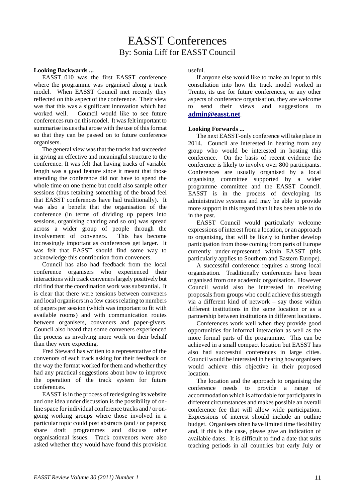## EASST Conferences By: Sonia Liff for EASST Council

#### **Looking Backwards ...**

EASST 010 was the first EASST conference where the programme was organised along a track model. When EASST Council met recently they reflected on this aspect of the conference. Their view was that this was a significant innovation which had worked well. Council would like to see future conferences run on this model. It was felt important to summarise issues that arose with the use of this format so that they can be passed on to future conference organisers.

The general view was that the tracks had succeeded in giving an effective and meaningful structure to the conference. It was felt that having tracks of variable length was a good feature since it meant that those attending the conference did not have to spend the whole time on one theme but could also sample other sessions (thus retaining something of the broad feel that EASST conferences have had traditionally). It was also a benefit that the organisation of the conference (in terms of dividing up papers into sessions, organising chairing and so on) was spread across a wider group of people through the involvement of conveners. This has become increasingly important as conferences get larger. It was felt that EASST should find some way to acknowledge this contribution from conveners.

Council has also had feedback from the local conference organisers who experienced their interactions with track conveners largely positively but did find that the coordination work was substantial. It is clear that there were tensions between conveners and local organisers in a few cases relating to numbers of papers per session (which was important to fit with available rooms) and with communication routes between organisers, conveners and paper-givers. Council also heard that some conveners experienced the process as involving more work on their behalf than they were expecting.

Fred Steward has written to a representative of the convenors of each track asking for their feedback on the way the format worked for them and whether they had any practical suggestions about how to improve the operation of the track system for future conferences.

EASST is in the process of redesigning its website and one idea under discussion is the possibility of online space for individual conference tracks and / or ongoing working groups where those involved in a particular topic could post abstracts (and / or papers); share draft programmes and discuss other organisational issues. Track convenors were also asked whether they would have found this provision useful.

If anyone else would like to make an input to this consultation into how the track model worked in Trento, its use for future conferences, or any other aspects of conference organisation, they are welcome to send their views and suggestions to **[admin@easst.net](mailto:admin@easst.net)**.

#### **Looking Forwards ...**

The next EASST-only conference will take place in 2014. Council are interested in hearing from any group who would be interested in hosting this conference. On the basis of recent evidence the conference is likely to involve over 800 participants. Conferences are usually organised by a local organising committee supported by a wider programme committee and the EASST Council. EASST is in the process of developing its administrative systems and may be able to provide more support in this regard than it has been able to do in the past.

EASST Council would particularly welcome expressions of interest from a location, or an approach to organising, that will be likely to further develop participation from those coming from parts of Europe currently under-represented within EASST (this particularly applies to Southern and Eastern Europe).

A successful conference requires a strong local organisation. Traditionally conferences have been organised from one academic organisation. However Council would also be interested in receiving proposals from groups who could achieve this strength via a different kind of network – say those within different institutions in the same location or as a partnership between institutions in different locations.

Conferences work well when they provide good opportunities for informal interaction as well as the more formal parts of the programme. This can be achieved in a small compact location but EASST has also had successful conferences in large cities. Council would be interested in hearing how organisers would achieve this objective in their proposed location.

The location and the approach to organising the conference needs to provide a range of accommodation which is affordable for participants in different circumstances and makes possible an overall conference fee that will allow wide participation. Expressions of interest should include an outline budget. Organisers often have limited time flexibility and, if this is the case, please give an indication of available dates. It is difficult to find a date that suits teaching periods in all countries but early July or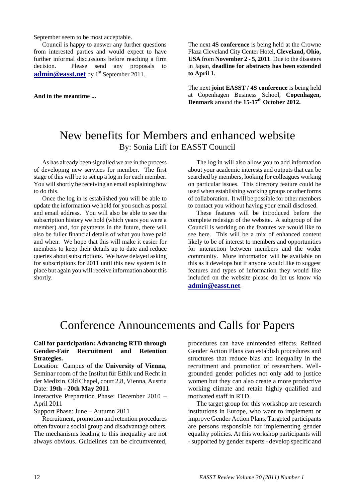September seem to be most acceptable.

Council is happy to answer any further questions from interested parties and would expect to have further informal discussions before reaching a firm decision. Please send any proposals to **[admin@easst.net](mailto:admin@easst.net)** by 1<sup>st</sup> September 2011.

**And in the meantime ...**

The next **4S conference** is being held at the Crowne Plaza Cleveland City Center Hotel, **Cleveland, Ohio, USA** from **November 2 - 5, 2011**. Due to the disasters in Japan, **deadline for abstracts has been extended to April 1.**

The next **joint EASST / 4S conference** is being held at Copenhagen Business School, **Copenhagen, Denmark** around the **15-17th October 2012.**

## New benefits for Members and enhanced website By: Sonia Liff for EASST Council

As has already been signalled we are in the process of developing new services for member. The first stage of this will be to set up a log in for each member. You will shortly be receiving an email explaining how to do this.

Once the log in is established you will be able to update the information we hold for you such as postal and email address. You will also be able to see the subscription history we hold (which years you were a member) and, for payments in the future, there will also be fuller financial details of what you have paid and when. We hope that this will make it easier for members to keep their details up to date and reduce queries about subscriptions. We have delayed asking for subscriptions for 2011 until this new system is in place but again you will receive information about this shortly.

The log in will also allow you to add information about your academic interests and outputs that can be searched by members, looking for colleagues working on particular issues. This directory feature could be used when establishing working groups or other forms of collaboration. It will be possible for other members to contact you without having your email disclosed.

These features will be introduced before the complete redesign of the website. A subgroup of the Council is working on the features we would like to see here. This will be a mix of enhanced content likely to be of interest to members and opportunities for interaction between members and the wider community. More information will be available on this as it develops but if anyone would like to suggest features and types of information they would like included on the website please do let us know via **[admin@easst.net](mailto:admin@easst.net)**.

## Conference Announcements and Calls for Papers

#### **Call for participation: Advancing RTD through Gender-Fair Recruitment and Retention Strategies.**

Location: Campus of the **University of Vienna**, Seminar room of the Institut für Ethik und Recht in der Medizin, Old Chapel, court 2.8, Vienna, Austria Date: **19th - 20th May 2011**

Interactive Preparation Phase: December 2010 – April 2011

Support Phase: June – Autumn 2011

Recruitment, promotion and retention procedures often favour a social group and disadvantage others. The mechanisms leading to this inequality are not always obvious. Guidelines can be circumvented,

procedures can have unintended effects. Refined Gender Action Plans can establish procedures and structures that reduce bias and inequality in the recruitment and promotion of researchers. Wellgrounded gender policies not only add to justice women but they can also create a more productive working climate and retain highly qualified and motivated staff in RTD.

The target group for this workshop are research institutions in Europe, who want to implement or improve Gender Action Plans. Targeted participants are persons responsible for implementing gender equality policies. At this workshop participants will -supported by gender experts - develop specific and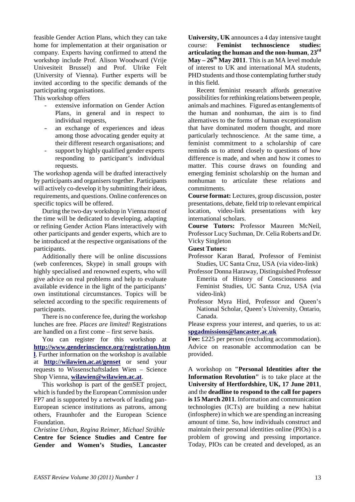feasible Gender Action Plans, which they can take home for implementation at their organisation or company. Experts having confirmed to attend the workshop include Prof. Alison Woodward (Vrije Univesiteit Brussel) and Prof. Ulrike Felt (University of Vienna). Further experts will be invited according to the specific demands of the participating organisations.

This workshop offers

- extensive information on Gender Action Plans, in general and in respect to individual requests,
- an exchange of experiences and ideas among those advocating gender equity at their different research organisations; and
- support by highly qualified gender experts responding to participant's individual requests.

The workshop agenda will be drafted interactively by participants and organisers together. Participants will actively co-develop it by submitting their ideas, requirements, and questions. Online conferences on specific topics will be offered.

During the two-day workshop in Vienna most of the time will be dedicated to developing, adapting or refining Gender Action Plans interactively with other participants and gender experts, which are to be introduced at the respective organisations of the participants.

Additionally there will be online discussions (web conferences, Skype) in small groups with highly specialised and renowned experts, who will give advice on real problems and help to evaluate available evidence in the light of the participants' own institutional circumstances. Topics will be selected according to the specific requirements of participants.

There is no conference fee, during the workshop lunches are free. *Places are limited!* Registrations are handled on a first come – first serve basis.

You can register for this workshop at **[http://www.genderinscience.org/registration.htm](http://www.genderinscience.org/registration.html) [l](http://www.genderinscience.org/registration.html)**. Further information on the workshop is available at **<http://wilawien.ac.at/genset>** or send your requests to Wissenschaftsladen Wien – Science Shop Vienna, **[wilawien@wilawien.ac.at](mailto:wilawien@wilawien.ac.at)**.

This workshop is part of the genSET project, which is funded by the European Commission under FP7 and is supported by a network of leading pan-European science institutions as patrons, among others, Fraunhofer and the European Science Foundation.

*Christine Urban, Regina Reimer, Michael Strähle* **Centre for Science Studies and Centre for Gender and Women's Studies, Lancaster**  **University, UK** announces a 4 day intensive taught course: **Feminist technoscience studies: articulating the human and the non-human**, **23rd May – 26th May 2011**. This is an MA level module of interest to UK and international MA students, PHD students and those contemplating further study in this field.

Recent feminist research affords generative possibilities for rethinking relations between people, animals and machines. Figured as entanglements of the human and nonhuman, the aim is to find alternatives to the forms of human exceptionalism that have dominated modern thought, and more particularly technoscience. At the same time, a feminist commitment to a scholarship of care reminds us to attend closely to questions of how difference is made, and when and how it comes to matter. This course draws on founding and emerging feminist scholarship on the human and nonhuman to articulate these relations and commitments.

**Course format:** Lectures, group discussion, poster presentations, debate, field trip to relevant empirical location, video-link presentations with key international scholars.

**Course Tutors:** Professor Maureen McNeil, Professor Lucy Suchman, Dr. Celia Roberts and Dr. Vicky Singleton

**Guest Tutors:**

- Professor Karan Barad, Professor of Feminist Studies, UC Santa Cruz, USA (via video-link)
- Professor Donna Haraway, Distinguished Professor Emerita of History of Consciousness and Feminist Studies, UC Santa Cruz, USA (via video-link)
- Professor Myra Hird, Professor and Queen's National Scholar, Queen's University, Ontario, Canada.

Please express your interest, and queries, to us at: **[spgadmissions@lancaster.ac.uk](mailto:spgadmissions@lancaster.ac.uk)**

**Fee:** £225 per person (excluding accommodation). Advice on reasonable accommodation can be provided.

A workshop on **"Personal Identities after the Information Revolution"** is to take place at the **University of Hertfordshire, UK, 17 June 2011**, and the **deadline to respond to the call for papers is 15 March 2011**. Information and communication technologies (ICTs) are building a new habitat (infosphere) in which we are spending an increasing amount of time. So, how individuals construct and maintain their personal identities online (PIOs) is a problem of growing and pressing importance. Today, PIOs can be created and developed, as an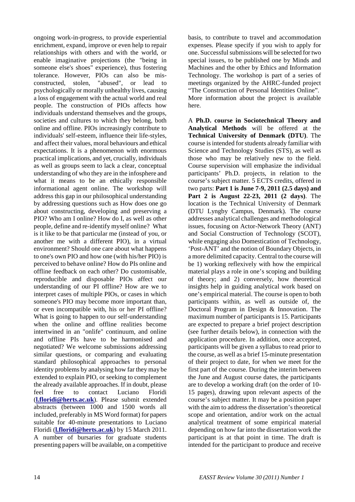ongoing work-in-progress, to provide experiential enrichment, expand, improve or even help to repair relationships with others and with the world, or enable imaginative projections (the "being in someone else's shoes" experience), thus fostering tolerance. However, PIOs can also be misconstructed, stolen, "abused", or lead to psychologically or morally unhealthy lives, causing a loss of engagement with the actual world and real people. The construction of PIOs affects how individuals understand themselves and the groups, societies and cultures to which they belong, both online and offline. PIOs increasingly contribute to individuals' self-esteem, influence their life-styles, and affect their values, moral behaviours and ethical expectations. It is a phenomenon with enormous practical implications, and yet, crucially, individuals as well as groups seem to lack a clear, conceptual understanding of who they are in the infosphere and what it means to be an ethically responsible informational agent online. The workshop will address this gap in our philosophical understanding by addressing questions such as How does one go about constructing, developing and preserving a PIO? Who am I online? How do I, as well as other people, define and re-identify myself online? What is it like to be that particular me (instead of you, or another me with a different PIO), in a virtual environment? Should one care about what happens to one's own PIO and how one (with his/her PIO) is perceived to behave online? How do PIs online and offline feedback on each other? Do customisable, reproducible and disposable PIOs affect our understanding of our PI offline? How are we to interpret cases of multiple PIOs, or cases in which someone's PIO may become more important than, or even incompatible with, his or her PI offline? What is going to happen to our self-understanding when the online and offline realities become intertwined in an "onlife" continuum, and online and offline PIs have to be harmonised and negotiated? We welcome submissions addressing similar questions, or comparing and evaluating standard philosophical approaches to personal identity problems by analysing how far they may be extended to explain PIO, or seeking to complement the already available approaches. If in doubt, please feel free to contact Luciano Floridi (**[l.floridi@herts.ac.uk](mailto:l.floridi@herts.ac.uk)**). Please submit extended abstracts (between 1000 and 1500 words all included, preferably in MS Word format) for papers suitable for 40-minute presentations to Luciano Floridi (**[l.floridi@herts.ac.uk](mailto:l.floridi@herts.ac.uk)**) by 15 March 2011. A number of bursaries for graduate students presenting papers will be available, on a competitive

basis, to contribute to travel and accommodation expenses. Please specify if you wish to apply for one. Successful submissions will be selected for two special issues, to be published one by Minds and Machines and the other by Ethics and Information Technology. The workshop is part of a series of meetings organized by the AHRC-funded project "The Construction of Personal Identities Online". More information about the project is available here.

A **Ph.D. course in Sociotechnical Theory and Analytical Methods** will be offered at the **Technical University of Denmark (DTU)**. The course is intended for students already familiar with Science and Technology Studies (STS), as well as those who may be relatively new to the field. Course supervision will emphasize the individual participants' Ph.D. projects, in relation to the course's subject matter. 5 ECTS credits, offered in two parts: **Part 1 is June 7-9, 2011 (2.5 days) and Part 2 is August 22-23, 2011 (2 days)**. The location is the Technical University of Denmark (DTU Lyngby Campus, Denmark). The course addresses analytical challenges and methodological issues, focusing on Actor-Network Theory (ANT) and Social Construction of Technology (SCOT), while engaging also Domestication of Technology, 'Post-ANT' and the notion of Boundary Objects, in a more delimited capacity. Central to the course will be 1) working reflexively with how the empirical material plays a role in one's scoping and building of theory; and 2) conversely, how theoretical insights help in guiding analytical work based on one's empirical material. The course is open to both participants within, as well as outside of, the Doctoral Program in Design & Innovation. The maximum number of participants is 15. Participants are expected to prepare a brief project description (see further details below), in connection with the application procedure. In addition, once accepted, participants will be given a syllabus to read prior to the course, as well as a brief 15-minute presentation of their project to date, for when we meet for the first part of the course. During the interim between the June and August course dates, the participants are to develop a working draft (on the order of 10- 15 pages), drawing upon relevant aspects of the course's subject matter. It may be a position paper with the aim to address the dissertation's theoretical scope and orientation, and/or work on the actual analytical treatment of some empirical material depending on how far into the dissertation work the participant is at that point in time. The draft is intended for the participant to produce and receive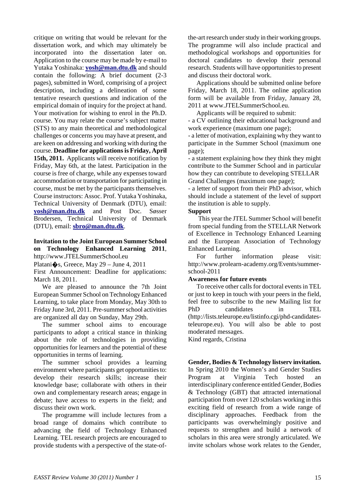critique on writing that would be relevant for the dissertation work, and which may ultimately be incorporated into the dissertation later on. Application to the course may be made by e-mail to Yutaka Yoshinaka: **[yosh@man.dtu.dk](mailto:yosh@man.dtu.dk)** and should contain the following: A brief document (2-3 pages), submitted in Word, comprising of a project description, including a delineation of some tentative research questions and indication of the empirical domain of inquiry for the project at hand. Your motivation for wishing to enrol in the Ph.D. course. You may relate the course's subject matter (STS) to any main theoretical and methodological challenges or concerns you may have at present, and are keen on addressing and working with during the course. **Deadline for applications is Friday, April 15th, 2011.** Applicants will receive notification by Friday, May 6th, at the latest. Participation in the course is free of charge, while any expenses toward accommodation or transportation for participating in course, must be met by the participants themselves. Course instructors: Assoc. Prof. Yutaka Yoshinaka, Technical University of Denmark (DTU), email: **[yosh@man.dtu.dk](mailto:yosh@man.dtu.dk)** and Post Doc. Søsser Brodersen, Technical University of Denmark (DTU), email: **[sbro@man.dtu.dk](mailto:sbro@man.dtu.dk)**.

#### **Invitation to the Joint European Summer School on Technology Enhanced Learning 2011**, http:/[/www.JTELSummerSchool.eu](http://www.jtelsummerschool.eu/)

Platani $\hat{\mathbf{\bullet}}$ s, Greece, May 29 – June 4, 2011

First Announcement: Deadline for applications: March 18, 2011.

We are pleased to announce the 7th Joint European Summer School on Technology Enhanced Learning, to take place from Monday, May 30th to Friday June 3rd, 2011. Pre-summer school activities are organized all day on Sunday, May 29th.

The summer school aims to encourage participants to adopt a critical stance in thinking about the role of technologies in providing opportunities for learners and the potential of these opportunities in terms of learning.

The summer school provides a learning environment where participants get opportunities to: develop their research skills; increase their knowledge base; collaborate with others in their own and complementary research areas; engage in debate; have access to experts in the field; and discuss their own work.

The programme will include lectures from a broad range of domains which contribute to advancing the field of Technology Enhanced Learning. TEL research projects are encouraged to provide students with a perspective of the state-ofthe-art research under study in their working groups. The programme will also include practical and methodological workshops and opportunities for doctoral candidates to develop their personal research. Students will have opportunities to present and discuss their doctoral work.

Applications should be submitted online before Friday, March 18, 2011. The online application form will be available from Friday, January 28, 2011 at [www.JTELSummerSchool.eu.](http://www.jtelsummerschool.eu/)

Applicants will be required to submit:

- a CV outlining their educational background and work experience (maximum one page);

- a letter of motivation, explaining why they want to participate in the Summer School (maximum one page);

- a statement explaining how they think they might contribute to the Summer School and in particular how they can contribute to developing STELLAR Grand Challenges (maximum one page);

- a letter of support from their PhD advisor, which should include a statement of the level of support the institution is able to supply.

#### **Support**

This year the JTEL Summer School will benefit from special funding from the STELLAR Network of Excellence in Technology Enhanced Learning and the European Association of Technology Enhanced Learning.

For further information please visit: [http://www.prolearn-academy.org/Events/summer](http://www.prolearn-academy.org/Events/summer-school-2011)[school-2011](http://www.prolearn-academy.org/Events/summer-school-2011)

#### **Awareness for future events**

To receive other calls for doctoral events in TEL or just to keep in touch with your peers in the field, feel free to subscribe to the new Mailing list for PhD candidates in TEL [\(http://lists.teleurope.eu/listinfo.cgi/phd-candidates](http://lists.teleurope.eu/listinfo.cgi/phd-candidates-teleurope.eu)[teleurope.eu\)](http://lists.teleurope.eu/listinfo.cgi/phd-candidates-teleurope.eu). You will also be able to post moderated messages.

Kind regards, Cristina

#### **Gender, Bodies & Technology listserv invitation.**

In Spring 2010 the Women's and Gender Studies Program at Virginia Tech hosted an interdisciplinary conference entitled Gender, Bodies & Technology (GBT) that attracted international participation from over 120 scholars working in this exciting field of research from a wide range of disciplinary approaches. Feedback from the participants was overwhelmingly positive and requests to strengthen and build a network of scholars in this area were strongly articulated. We invite scholars whose work relates to the Gender,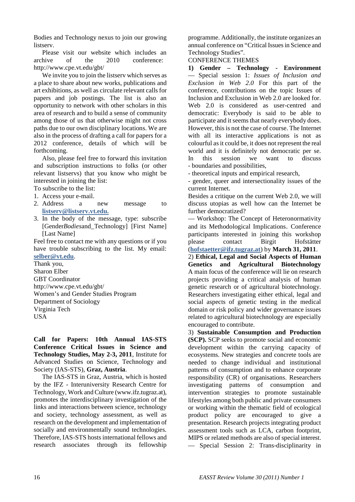Bodies and Technology nexus to join our growing listserv.

Please visit our website which includes an archive of the 2010 conference: <http://www.cpe.vt.edu/gbt/>

We invite you to join the listsery which serves as a place to share about new works, publications and art exhibitions, as well as circulate relevant calls for papers and job postings. The list is also an opportunity to network with other scholars in this area of research and to build a sense of community among those of us that otherwise might not cross paths due to our own disciplinary locations. We are also in the process of drafting a call for papers for a 2012 conference, details of which will be forthcoming.

Also, please feel free to forward this invitation and subscription instructions to folks (or other relevant listservs) that you know who might be interested in joining the list:

- To subscribe to the list:
- 1. Access your e-mail.
- 2. Address a new message to **[listserv@listserv.vt.edu.](mailto:listserv@listserv.vt.edu)**
- 3. In the body of the message, type: subscribe [Gender*Bodies*and\_Technology] [First Name] [Last Name]

Feel free to contact me with any questions or if you have trouble subscribing to the list. My email: **[selber@vt.edu](mailto:selber@vt.edu)**.

Thank you, Sharon Elber GBT Coordinator <http://www.cpe.vt.edu/gbt/> Women's and Gender Studies Program Department of Sociology Virginia Tech USA

**Call for Papers: 10th Annual IAS-STS Conference Critical Issues in Science and Technology Studies, May 2-3, 2011**, Institute for Advanced Studies on Science, Technology and Society (IAS-STS), **Graz, Austria**.

The IAS-STS in Graz, Austria, which is hosted by the IFZ - Interuniversity Research Centre for Technology, Work and Culture [\(www.ifz.tugraz.at\)](http://www.ifz.tugraz.at/), promotes the interdisciplinary investigation of the links and interactions between science, technology and society, technology assessment, as well as research on the development and implementation of socially and environmentally sound technologies. Therefore, IAS-STS hosts international fellows and research associates through its fellowship

programme. Additionally, the institute organizes an annual conference on "Critical Issues in Science and Technology Studies".

#### CONFERENCE THEMES

**1) Gender – Technology - Environment** — Special session 1: *Issues of Inclusion and Exclusion in Web 2.0* For this part of the conference, contributions on the topic Issues of Inclusion and Exclusion in Web 2.0 are looked for. Web 2.0 is considered as user-centred and democratic: Everybody is said to be able to participate and it seems that nearly everybody does. However, this is not the case of course. The Internet with all its interactive applications is not as colourful as it could be, it does not represent the real world and it is definitely not democratic per se. In this session we want to discuss - boundaries and possibilities,

- theoretical inputs and empirical research,

- gender, queer and intersectionality issues of the current Internet.

Besides a critique on the current Web 2.0, we will discuss utopias as well how can the Internet be further democratized?

— Workshop: The Concept of Heteronormativity and its Methodological Implications. Conference participants interested in joining this workshop please contact Birgit Hofstätter (**[hofstaetter@ifz.tugraz.at](mailto:hofstaetter@ifz.tugraz.at)**) by **March 31, 2011**.

2) **Ethical, Legal and Social Aspects of Human Genetics and Agricultural Biotechnology** A main focus of the conference will lie on research projects providing a critical analysis of human genetic research or of agricultural biotechnology. Researchers investigating either ethical, legal and social aspects of genetic testing in the medical domain or risk policy and wider governance issues related to agricultural biotechnology are especially encouraged to contribute.

3) **Sustainable Consumption and Production (SCP).** SCP seeks to promote social and economic development within the carrying capacity of ecosystems. New strategies and concrete tools are needed to change individual and institutional patterns of consumption and to enhance corporate responsibility (CR) of organisations. Researchers investigating patterns of consumption and intervention strategies to promote sustainable lifestyles among both public and private consumers or working within the thematic field of ecological product policy are encouraged to give a presentation. Research projects integrating product assessment tools such as LCA, carbon footprint, MIPS or related methods are also of special interest. — Special Session 2: Trans-disciplinarity in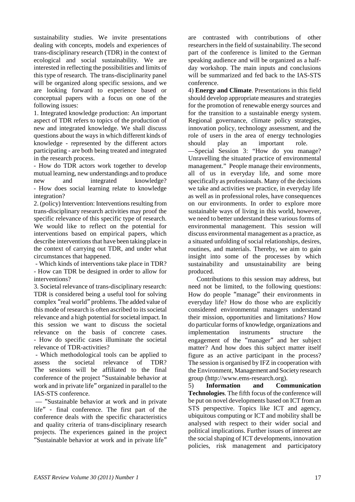sustainability studies. We invite presentations dealing with concepts, models and experiences of trans-disciplinary research (TDR) in the context of ecological and social sustainability. We are interested in reflecting the possibilities and limits of this type of research. The trans-disciplinarity panel will be organized along specific sessions, and we are looking forward to experience based or conceptual papers with a focus on one of the following issues:

1. Integrated knowledge production: An important aspect of TDR refers to topics of the production of new and integrated knowledge. We shall discuss questions about the ways in which different kinds of knowledge - represented by the different actors participating - are both being treated and integrated in the research process.

- How do TDR actors work together to develop mutual learning, new understandings and to produce new and integrated knowledge? - How does social learning relate to knowledge integration?

2. (policy) Intervention: Interventions resulting from trans-disciplinary research activities may proof the specific relevance of this specific type of research. We would like to reflect on the potential for interventions based on empirical papers, which describe interventions that have been taking place in the context of carrying out TDR, and under what circumstances that happened.

- Which kinds of interventions take place in TDR? - How can TDR be designed in order to allow for interventions?

3. Societal relevance of trans-disciplinary research: TDR is considered being a useful tool for solving complex "real world" problems. The added value of this mode of research is often ascribed to its societal relevance and a high potential for societal impact. In this session we want to discuss the societal relevance on the basis of concrete cases. - How do specific cases illuminate the societal relevance of TDR-activities?

- Which methodological tools can be applied to assess the societal relevance of TDR? The sessions will be affiliated to the final conference of the project "Sustainable behavior at work and in private life" organized in parallel to the IAS-STS conference.

— "Sustainable behavior at work and in private life" - final conference. The first part of the conference deals with the specific characteristics and quality criteria of trans-disciplinary research projects. The experiences gained in the project "Sustainable behavior at work and in private life"

are contrasted with contributions of other researchers in the field of sustainability. The second part of the conference is limited to the German speaking audience and will be organized as a halfday workshop. The main inputs and conclusions will be summarized and fed back to the IAS-STS conference.

4) **Energy and Climate**. Presentations in this field should develop appropriate measures and strategies for the promotion of renewable energy sources and for the transition to a sustainable energy system. Regional governance, climate policy strategies, innovation policy, technology assessment, and the role of users in the area of energy technologies should play an important role. —Special Session 3: "How do you manage? Unravelling the situated practice of environmental management." People manage their environments, all of us in everyday life, and some more specifically as professionals. Many of the decisions we take and activities we practice, in everyday life as well as in professional roles, have consequences on our environments. In order to explore more sustainable ways of living in this world, however, we need to better understand these various forms of environmental management. This session will discuss environmental management as a practice, as a situated unfolding of social relationships, desires, routines, and materials. Thereby, we aim to gain insight into some of the processes by which sustainability and unsustainability are being produced.

Contributions to this session may address, but need not be limited, to the following questions: How do people "manage" their environments in everyday life? How do those who are explicitly considered environmental managers understand their mission, opportunities and limitations? How do particular forms of knowledge, organizations and implementation instruments structure the engagement of the "manager" and her subject matter? And how does this subject matter itself figure as an active participant in the process? The session is organised by IFZ in cooperation with the Environment, Management and Society research group [\(http://www.ems-research.org\)](http://www.ems-research.org/).

5) **Information and Communication Technologies**. The fifth focus of the conference will be put on novel developments based on ICT from an STS perspective. Topics like ICT and agency, ubiquitous computing or ICT and mobility shall be analysed with respect to their wider social and political implications. Further issues of interest are the social shaping of ICT developments, innovation policies, risk management and participatory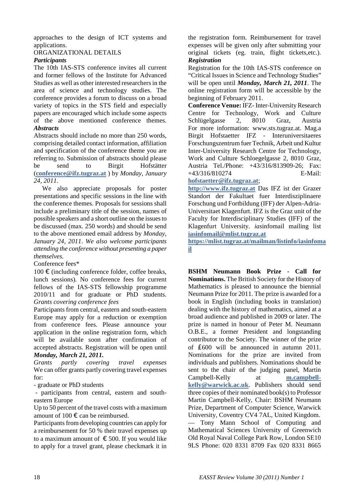approaches to the design of ICT systems and applications.

#### ORGANIZATIONAL DETAILS

#### *Participants*

The 10th IAS-STS conference invites all current and former fellows of the Institute for Advanced Studies as well as other interested researchers in the area of science and technology studies. The conference provides a forum to discuss on a broad variety of topics in the STS field and especially papers are encouraged which include some aspects of the above mentioned conference themes. *Abstracts*

Abstracts should include no more than 250 words, comprising detailed contact information, affiliation and specification of the conference theme you are referring to. Submission of abstracts should please be send to Birgit Hofstätter (**[conference@ifz.tugraz.at](mailto:conference@ifz.tugraz.at)** ) by *Monday, January 24, 2011*.

We also appreciate proposals for poster presentations and specific sessions in the line with the conference themes. Proposals for sessions shall include a preliminary title of the session, names of possible speakers and a short outline on the issues to be discussed (max. 250 words) and should be send to the above mentioned email address by *Monday, January 24, 2011*. *We also welcome participants attending the conference without presenting a paper themselves.* 

Conference fees\*

 $100 \text{ €}$  (including conference folder, coffee breaks, lunch sessions). No conference fees for current fellows of the IAS-STS fellowship programme 2010/11 and for graduate or PhD students. *Grants covering conference fees*

Participants from central, eastern and south-eastern Europe may apply for a reduction or exemption from conference fees. Please announce your application in the online registration form, which will be available soon after confirmation of accepted abstracts. Registration will be open until *Monday, March 21, 2011.*

*Grants partly covering travel expenses* We can offer grants partly covering travel expenses for:

- graduate or PhD students

- participants from central, eastern and southeastern Europe

Up to 50 percent of the travel costs with a maximum amount of  $100 \in \text{can}$  be reimbursed.

Participants from developing countries can apply for a reimbursement for 50 % their travel expenses up to a maximum amount of  $\epsilon$  500. If you would like to apply for a travel grant, please checkmark it in the registration form. Reimbursement for travel expenses will be given only after submitting your original tickets (eg. train, flight tickets,etc.). *Registration*

Registration for the 10th IAS-STS conference on "Critical Issues in Science and Technology Studies" will be open until *Monday, March 21, 2011*. The online registration form will be accessible by the beginning of February 2011.

**Conference Venue:** IFZ- Inter-University Research Centre for Technology, Work and Culture Schlügelgasse 2, 8010 Graz, Austria For more information: [www.sts.tugraz.at.](http://www.sts.tugraz.at/) Mag.a Birgit Hofstaetter IFZ - Interuniversitaeres Forschungszentrum fuer Technik, Arbeit und Kultur Inter-University Research Centre for Technology, Work and Culture Schloegelgasse 2, 8010 Graz, Austria Tel./Phone: +43/316/813909-26; Fax: +43/316/810274 E-Mail:

**[hofstaetter@ifz.tugraz.at](mailto:hofstaetter@ifz.tugraz.at)**;

**[http://www.ifz.tugraz.at](http://www.ifz.tugraz.at/)** Das IFZ ist der Grazer Standort der Fakultaet fuer Interdisziplinaere Forschung und Fortbildung (IFF) der Alpen-Adria-Universitaet Klagenfurt. IFZ is the Graz unit of the Faculty for Interdisciplinary Studies (IFF) of the Klagenfurt University. *ias*infomail mailing list **[iasinfomail@mlist.tugraz.at](mailto:ias_infomail@mlist.tugraz.at)**

**https://mlist.tugraz.at/mailman/listinfo/iasinfoma il**

**BSHM Neumann Book Prize - Call for Nominations.** The British Society for the History of Mathematics is pleased to announce the biennial Neumann Prize for 2011. The prize is awarded for a book in English (including books in translation) dealing with the history of mathematics, aimed at a broad audience and published in 2009 or later. The prize is named in honour of Peter M. Neumann O.B.E., a former President and longstanding contributor to the Society. The winner of the prize of £600 will be announced in autumn 2011. Nominations for the prize are invited from individuals and publishers. Nominations should be sent to the chair of the judging panel, Martin Campbell-Kelly at **m.campbell**kelly@warwick.ac.uk. Publishers should send three copies of their nominated book(s) to Professor Martin Campbell-Kelly, Chair: BSHM Neumann Prize, Department of Computer Science, Warwick University, Coventry CV4 7AL, United Kingdom. — Tony Mann School of Computing and Mathematical Sciences University of Greenwich Old Royal Naval College Park Row, London SE10 9LS Phone: 020 8331 8709 Fax 020 8331 8665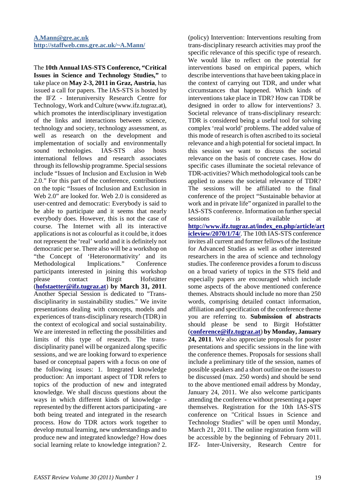The **10th Annual IAS-STS Conference, "Critical Issues in Science and Technology Studies,"** to take place on **May 2-3, 2011 in Graz, Austria**, has issued a call for papers. The IAS-STS is hosted by the IFZ - Interuniversity Research Centre for Technology, Work and Culture (www.ifz.tugraz.at), which promotes the interdisciplinary investigation of the links and interactions between science, technology and society, technology assessment, as well as research on the development and implementation of socially and environmentally sound technologies. IAS-STS also hosts international fellows and research associates through its fellowship programme. Special sessions include "Issues of Inclusion and Exclusion in Web 2.0." For this part of the conference, contributions on the topic "Issues of Inclusion and Exclusion in Web 2.0" are looked for. Web 2.0 is considered as user-centred and democratic: Everybody is said to be able to participate and it seems that nearly everybody does. However, this is not the case of course. The Internet with all its interactive applications is not as colourful as it could be, it does not represent the 'real' world and it is definitely not democratic per se. There also will be a workshop on "the Concept of 'Heteronormativity' and its Methodological Implications." Conference participants interested in joining this workshop please contact Birgit Hofstätter (**[hofstaetter@ifz.tugraz.at](mailto:hofstaetter@ifz.tugraz.at)**) **by March 31, 2011**. Another Special Session is dedicated to "Transdisciplinarity in sustainability studies." We invite presentations dealing with concepts, models and experiences of trans-disciplinary research (TDR) in the context of ecological and social sustainability. We are interested in reflecting the possibilities and limits of this type of research. The transdisciplinarity panel will be organized along specific sessions, and we are looking forward to experience based or conceptual papers with a focus on one of the following issues: 1. Integrated knowledge production: An important aspect of TDR refers to topics of the production of new and integrated knowledge. We shall discuss questions about the ways in which different kinds of knowledge represented by the different actors participating - are both being treated and integrated in the research process. How do TDR actors work together to develop mutual learning, new understandings and to produce new and integrated knowledge? How does social learning relate to knowledge integration? 2.

(policy) Intervention: Interventions resulting from trans-disciplinary research activities may proof the specific relevance of this specific type of research. We would like to reflect on the potential for interventions based on empirical papers, which describe interventions that have been taking place in the context of carrying out TDR, and under what circumstances that happened. Which kinds of interventions take place in TDR? How can TDR be designed in order to allow for interventions? 3. Societal relevance of trans-disciplinary research: TDR is considered being a useful tool for solving complex 'real world' problems. The added value of this mode of research is often ascribed to its societal relevance and a high potential for societal impact. In this session we want to discuss the societal relevance on the basis of concrete cases. How do specific cases illuminate the societal relevance of TDR-activities? Which methodological tools can be applied to assess the societal relevance of TDR? The sessions will be affiliated to the final conference of the project "Sustainable behavior at work and in private life" organized in parallel to the IAS-STS conference. Information on further special sessions is available at **[http://www.ifz.tugraz.at/index\\_en.php/article/art](http://www.ifz.tugraz.at/index_en.php/article/articleview/2070/1/74/) [icleview/2070/1/74/](http://www.ifz.tugraz.at/index_en.php/article/articleview/2070/1/74/)**. The 10th IAS-STS conference invites all current and former fellows of the Institute for Advanced Studies as well as other interested researchers in the area of science and technology studies. The conference provides a forum to discuss on a broad variety of topics in the STS field and especially papers are encouraged which include some aspects of the above mentioned conference themes. Abstracts should include no more than 250 words, comprising detailed contact information, affiliation and specification of the conference theme you are referring to. **Submission of abstracts** should please be send to Birgit Hofstätter (**[conference@ifz.tugraz.at](mailto:conference@ifz.tugraz.at)**) **by Monday, January 24, 2011**. We also appreciate proposals for poster presentations and specific sessions in the line with the conference themes. Proposals for sessions shall include a preliminary title of the session, names of possible speakers and a short outline on the issues to be discussed (max. 250 words) and should be send to the above mentioned email address by Monday, January 24, 2011. We also welcome participants attending the conference without presenting a paper themselves. Registration for the 10th IAS-STS conference on "Critical Issues in Science and Technology Studies" will be open until Monday, March 21, 2011. The online registration form will be accessible by the beginning of February 2011. IFZ- Inter-University, Research Centre for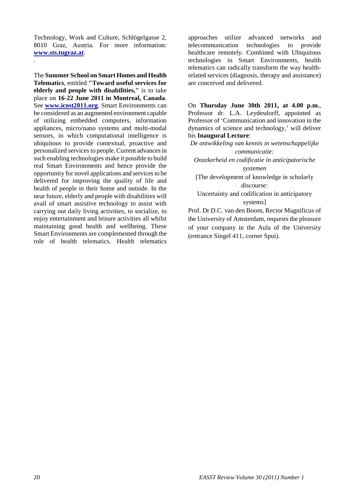Technology, Work and Culture, Schlögelgasse 2, 8010 Graz, Austria. For more information: **[www.sts.tugraz.at](http://www.sts.tugraz.at/)**.

.

The **Summer School on Smart Homes and Health Telematics**, entitled **"Toward useful services for elderly and people with disabilities,"** is to take place on **16-22 June 2011 in Montreal, Canada**. See **[www.icost2011.org](http://www.icost2011.org/)**. Smart Environments can be considered as an augmented environment capable of utilizing embedded computers, information appliances, micro/nano systems and multi-modal sensors, in which computational intelligence is ubiquitous to provide contextual, proactive and personalized services to people. Current advances in such enabling technologies make it possible to build real Smart Environments and hence provide the opportunity for novel applications and services to be delivered for improving the quality of life and health of people in their home and outside. In the near future, elderly and people with disabilities will avail of smart assistive technology to assist with carrying out daily living activities, to socialize, to enjoy entertainment and leisure activities all whilst maintaining good health and wellbeing. These Smart Environments are complemented through the role of health telematics. Health telematics

approaches utilize advanced networks and telecommunication technologies to provide healthcare remotely. Combined with Ubiquitous technologies in Smart Environments, health telematics can radically transform the way healthrelated services (diagnosis, therapy and assistance) are conceived and delivered.

On **Thursday June 30th 2011, at 4.00 p.m.**, Professor dr. L.A. Leydesdorff, appointed as Professor of 'Communication and innovation in the dynamics of science and technology,' will deliver his **Inaugural Lecture**:

*De ontwikkeling van kennis in wetenschappelijke communicatie: Onzekerheid en codificatie in anticipatorische systemen*

[The development of knowledge in scholarly discourse:

Uncertainty and codification in anticipatory systems]

Prof. Dr D.C. van den Boom, Rector Magnificus of the University of Amsterdam, requests the pleasure of your company in the Aula of the University (entrance Singel 411, corner Spui).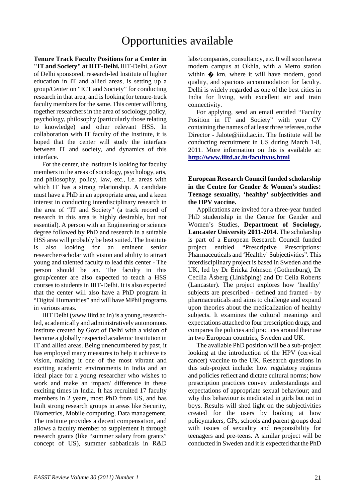# Opportunities available

**Tenure Track Faculty Positions for a Center in "IT and Society" at IIIT-Delhi.** IIIT-Delhi, a Govt of Delhi sponsored, research-led Institute of higher education in IT and allied areas, is setting up a group/Center on "ICT and Society" for conducting research in that area, and is looking for tenure-track faculty members for the same. This center will bring together researchers in the area of sociology, policy, psychology, philosophy (particularly those relating to knowledge) and other relevant HSS. In collaboration with IT faculty of the Institute, it is hoped that the center will study the interface between IT and society, and dynamics of this interface.

For the center, the Institute is looking for faculty members in the areas of sociology, psychology, arts, and philosophy, policy, law, etc., i.e. areas with which IT has a strong relationship. A candidate must have a PhD in an appropriate area, and a keen interest in conducting interdisciplinary research in the area of "IT and Society" (a track record of research in this area is highly desirable, but not essential). A person with an Engineering or science degree followed by PhD and research in a suitable HSS area will probably be best suited. The Institute is also looking for an eminent senior researcher/scholar with vision and ability to attract young and talented faculty to lead this center - The person should be an. The faculty in this group/center are also expected to teach a HSS courses to students in IIIT-Delhi. It is also expected that the center will also have a PhD program in "Digital Humanities" and will have MPhil programs in various areas.

IIIT Delhi (www.iiitd.ac.in) is a young, researchled, academically and administratively autonomous institute created by Govt of Delhi with a vision of become a globally respected academic Institution in IT and allied areas. Being unencumbered by past, it has employed many measures to help it achieve its vision, making it one of the most vibrant and exciting academic environments in India and an ideal place for a young researcher who wishes to work and make an impact/ difference in these exciting times in India. It has recruited 17 faculty members in 2 years, most PhD from US, and has built strong research groups in areas like Security, Biometrics, Mobile computing, Data management. The institute provides a decent compensation, and allows a faculty member to supplement it through research grants (like "summer salary from grants" concept of US), summer sabbaticals in R&D

labs/companies, consultancy, etc. It will soon have a modern campus at Okhla, with a Metro station within  $\triangle$  km, where it will have modern, good quality, and spacious accommodation for faculty. Delhi is widely regarded as one of the best cities in India for living, with excellent air and train connectivity.

For applying, send an email entitled "Faculty Position in IT and Society" with your CV containing the names of at least three referees, to the Director - Jalote@iiitd.ac.in. The Institute will be conducting recruitment in US during March 1-8, 2011. More information on this is available at: **<http://www.iiitd.ac.in/facultyus.html>**

#### **European Research Council funded scholarship in the Centre for Gender & Women's studies: Teenage sexuality, 'healthy' subjectivities and the HPV vaccine.**

Applications are invited for a three-year funded PhD studentship in the Centre for Gender and Women's Studies, **Department of Sociology, Lancaster University 2011-2014**. The scholarship is part of a European Research Council funded project entitled "Prescriptive Prescriptions: Pharmaceuticals and 'Healthy' Subjectivities". This interdisciplinary project is based in Sweden and the UK, led by Dr Ericka Johnson (Gothenburg), Dr Cecilia Åsberg (Linköping) and Dr Celia Roberts (Lancaster). The project explores how 'healthy' subjects are prescribed - defined and framed - by pharmaceuticals and aims to challenge and expand upon theories about the medicalization of healthy subjects. It examines the cultural meanings and expectations attached to four prescription drugs, and compares the policies and practices around their use in two European countries, Sweden and UK.

The available PhD position will be a sub-project looking at the introduction of the HPV (cervical cancer) vaccine to the UK. Research questions in this sub-project include: how regulatory regimes and policies reflect and dictate cultural norms; how prescription practices convey understandings and expectations of appropriate sexual behaviour; and why this behaviour is medicated in girls but not in boys. Results will shed light on the subjectivities created for the users by looking at how policymakers, GPs, schools and parent groups deal with issues of sexuality and responsibility for teenagers and pre‐teens. A similar project will be conducted in Sweden and it is expected that the PhD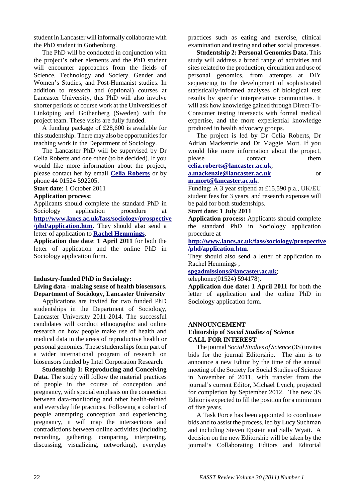student in Lancaster will informally collaborate with the PhD student in Gothenburg.

The PhD will be conducted in conjunction with the project's other elements and the PhD student will encounter approaches from the fields of Science, Technology and Society, Gender and Women's Studies, and Post-Humanist studies. In addition to research and (optional) courses at Lancaster University, this PhD will also involve shorter periods of course work at the Universities of Linköping and Gothenberg (Sweden) with the project team. These visits are fully funded.

A funding package of £28,600 is available for this studentship. There may also be opportunities for teaching work in the Department of Sociology.

The Lancaster PhD will be supervised by Dr Celia Roberts and one other (to be decided). If you would like more information about the project, please contact her by email **[Celia Roberts](mailto:celia.roberts@lancaster.ac.uk)** or by phone 44 01524 592205.

**Start date**: 1 October 2011

#### **Application process:**

Applicants should complete the standard PhD in Sociology application procedure at **[http://www.lancs.ac.uk/fass/sociology/prospective](http://www.lancs.ac.uk/fass/sociology/prospective/phd/application.htm) [/phd/application.htm](http://www.lancs.ac.uk/fass/sociology/prospective/phd/application.htm)**. They should also send a letter of application to **[Rachel Hemmings](mailto:spgadmissions@lancaster.ac.uk)**.

**Application due date**: **1 April 2011** for both the letter of application and the online PhD in Sociology application form.

#### **Industry-funded PhD in Sociology:**

**Living data - making sense of health biosensors. Department of Sociology, Lancaster University**

Applications are invited for two funded PhD studentships in the Department of Sociology, Lancaster University 2011-2014. The successful candidates will conduct ethnographic and online research on how people make use of health and medical data in the areas of reproductive health or personal genomics. These studentships form part of a wider international program of research on biosensors funded by Intel Corporation Research.

**Studentship 1: Reproducing and Conceiving Data.** The study will follow the material practices of people in the course of conception and pregnancy, with special emphasis on the connection between data-monitoring and other health-related and everyday life practices. Following a cohort of people attempting conception and experiencing pregnancy, it will map the intersections and contradictions between online activities (including recording, gathering, comparing, interpreting, discussing, visualizing, networking), everyday

practices such as eating and exercise, clinical examination and testing and other social processes.

**Studentship 2: Personal Genomics Data.** This study will address a broad range of activities and sites related to the production, circulation and use of personal genomics, from attempts at DIY sequencing to the development of sophisticated statistically-informed analyses of biological test results by specific interpretative communities. It will ask how knowledge gained through Direct-To-Consumer testing intersects with formal medical expertise, and the more experiential knowledge produced in health advocacy groups.

The project is led by Dr Celia Roberts, Dr Adrian Mackenzie and Dr Maggie Mort. If you would like more information about the project, please contact them

**[celia.roberts@lancaster.ac.uk](mailto:celia.roberts@lancaster.ac.uk)**;

#### **[a.mackenzie@lancaster.ac.uk](mailto:a.mackenzie@lancaster.ac.uk)** or **[m.mort@lancaster.ac.uk](mailto:m.mort@lancaster.ac.uk)**.

Funding: A 3 year stipend at £15,590 p.a., UK/EU student fees for 3 years, and research expenses will be paid for both studentships.

#### **Start date: 1 July 2011**

**Application process:** Applicants should complete the standard PhD in Sociology application procedure at

**[http://www.lancs.ac.uk/fass/sociology/prospective](http://www.lancs.ac.uk/fass/sociology/prospective/phd/application.htm) [/phd/application.htm](http://www.lancs.ac.uk/fass/sociology/prospective/phd/application.htm)**.

They should also send a letter of application to Rachel Hemmings ,

**[spgadmissions@lancaster.ac.uk](mailto:spgadmissions@lancaster.ac.uk)**;

telephone:(01524) 594178).

**Application due date: 1 April 2011** for both the letter of application and the online PhD in Sociology application form.

#### **ANNOUNCEMENT**

#### **Editorship of** *Social Studies of Science* **CALL FOR INTEREST**

The journal *Social Studies of Science* (3S) invites bids for the journal Editorship. The aim is to announce a new Editor by the time of the annual meeting of the Society for Social Studies of Science in November of 2011, with transfer from the journal's current Editor, Michael Lynch, projected for completion by September 2012. The new 3S Editor is expected to fill the position for a minimum of five years.

A Task Force has been appointed to coordinate bids and to assist the process, led by Lucy Suchman and including Steven Epstein and Sally Wyatt. A decision on the new Editorship will be taken by the journal's Collaborating Editors and Editorial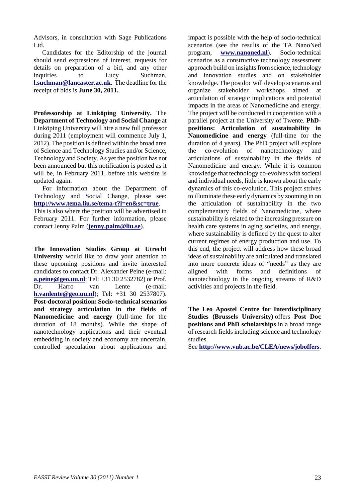Advisors, in consultation with Sage Publications Ltd.

Candidates for the Editorship of the journal should send expressions of interest, requests for details on preparation of a bid, and any other inquiries to Lucy Suchman, **[l.suchman@lancaster.ac.uk](mailto:l.suchman@lancaster.ac.uk)**. The deadline for the receipt of bids is **June 30, 2011.**

**Professorship at Linköping University.** The **Department of Technology and Social Change** at Linköping University will hire a new full professor during 2011 (employment will commence July 1, 2012). The position is defined within the broad area of Science and Technology Studies and/or Science, Technology and Society. As yet the position has not been announced but this notification is posted as it will be, in February 2011, before this website is updated again.

For information about the Department of Technology and Social Change, please see: **<http://www.tema.liu.se/tema-t?l=en&sc=true>**.

This is also where the position will be advertised in February 2011. For further information, please contact Jenny Palm (**[jenny.palm@liu.se](mailto:jenny.palm@liu.se)**).

**The Innovation Studies Group at Utrecht University** would like to draw your attention to these upcoming positions and invite interested candidates to contact Dr. Alexander Peine (e-mail: **[a.peine@geo.uu.nl](mailto:a.peine@geo.uu.nl)**; Tel: +31 30 2532782) or Prof. Dr. Harro van Lente (e-mail: **[h.vanlente@geo.uu.nl](mailto:h.vanlente@geo.uu.nl)**); Tel: +31 30 2537807). **Post-doctoral position: Socio-technical scenarios and strategy articulation in the fields of Nanomedicine and energy** (full-time for the duration of 18 months). While the shape of nanotechnology applications and their eventual embedding in society and economy are uncertain, controlled speculation about applications and

impact is possible with the help of socio-technical scenarios (see the results of the TA NanoNed program, **[www.nanoned.nl](http://www.nanoned.nl/)**). Socio-technical scenarios as a constructive technology assessment approach build on insights from science, technology and innovation studies and on stakeholder knowledge. The postdoc will develop scenarios and organize stakeholder workshops aimed at articulation of strategic implications and potential impacts in the areas of Nanomedicine and energy. The project will be conducted in cooperation with a parallel project at the University of Twente. **PhDpositions: Articulation of sustainability in Nanomedicine and energy** (full-time for the duration of 4 years). The PhD project will explore the co-evolution of nanotechnology and articulations of sustainability in the fields of Nanomedicine and energy. While it is common knowledge that technology co-evolves with societal and individual needs, little is known about the early dynamics of this co-evolution. This project strives to illuminate these early dynamics by zooming in on the articulation of sustainability in the two complementary fields of Nanomedicine, where sustainability is related to the increasing pressure on health care systems in aging societies, and energy, where sustainability is defined by the quest to alter current regimes of energy production and use. To this end, the project will address how these broad ideas of sustainability are articulated and translated into more concrete ideas of "needs" as they are aligned with forms and definitions of nanotechnology in the ongoing streams of R&D activities and projects in the field.

**The Leo Apostel Centre for Interdisciplinary Studies (Brussels University)** offers **Post Doc positions and PhD scholarships** in a broad range of research fields including science and technology studies.

See **<http://www.vub.ac.be/CLEA/news/joboffers>**.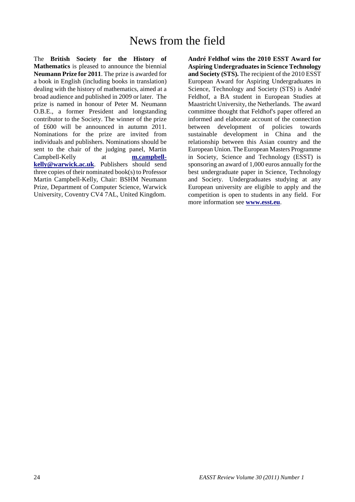## News from the field

The **British Society for the History of Mathematics** is pleased to announce the biennial **Neumann Prize for 2011**. The prize is awarded for a book in English (including books in translation) dealing with the history of mathematics, aimed at a broad audience and published in 2009 or later. The prize is named in honour of Peter M. Neumann O.B.E., a former President and longstanding contributor to the Society. The winner of the prize of £600 will be announced in autumn 2011. Nominations for the prize are invited from individuals and publishers. Nominations should be sent to the chair of the judging panel, Martin Campbell-Kelly at **[m.campbell](mailto:m.campbell-kelly@warwick.ac.uk)[kelly@warwick.ac.uk](mailto:m.campbell-kelly@warwick.ac.uk)**. Publishers should send three copies of their nominated book(s) to Professor Martin Campbell-Kelly, Chair: BSHM Neumann Prize, Department of Computer Science, Warwick University, Coventry CV4 7AL, United Kingdom.

**André Feldhof wins the 2010 ESST Award for Aspiring Undergraduates in Science Technology and Society (STS).** The recipient of the 2010 ESST European Award for Aspiring Undergraduates in Science, Technology and Society (STS) is André Feldhof, a BA student in European Studies at Maastricht University, the Netherlands. The award committee thought that Feldhof's paper offered an informed and elaborate account of the connection between development of policies towards sustainable development in China and the relationship between this Asian country and the European Union. The European Masters Programme in Society, Science and Technology (ESST) is sponsoring an award of 1,000 euros annually for the best undergraduate paper in Science, Technology and Society. Undergraduates studying at any European university are eligible to apply and the competition is open to students in any field. For more information see **[www.esst.eu](http://www.esst.eu/)**.